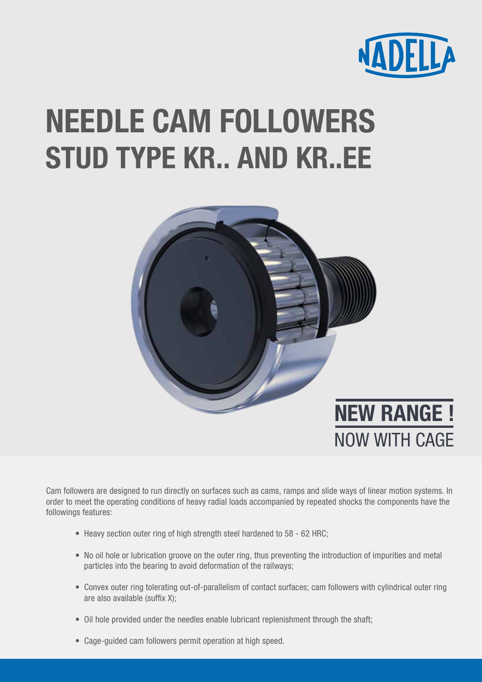

## NEEDLE CAM FOLLOWERS STUD TYPE KR.. AND KR..EE



Cam followers are designed to run directly on surfaces such as cams, ramps and slide ways of linear motion systems. In order to meet the operating conditions of heavy radial loads accompanied by repeated shocks the components have the followings features:

- Heavy section outer ring of high strength steel hardened to 58 62 HRC;
- No oil hole or lubrication groove on the outer ring, thus preventing the introduction of impurities and metal particles into the bearing to avoid deformation of the railways;
- Convex outer ring tolerating out-of-parallelism of contact surfaces; cam followers with cylindrical outer ring are also available (suffix X);
- Oil hole provided under the needles enable lubricant replenishment through the shaft;
- Cage-guided cam followers permit operation at high speed.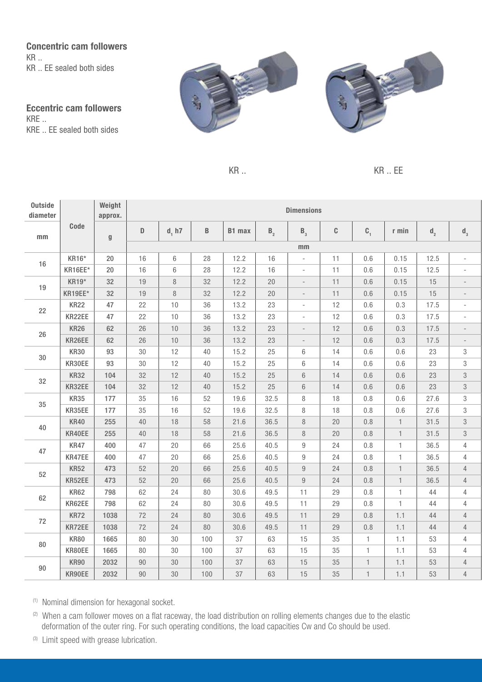Concentric cam followers KR .. KR .. EE sealed both sides

Eccentric cam followers KRE .. KRE .. EE sealed both sides





 $KR$   $\ldots$  EE

| Outside<br>diameter |             | Weight<br>approx.         | <b>Dimensions</b> |                |        |        |                |                          |      |              |              |                |                          |
|---------------------|-------------|---------------------------|-------------------|----------------|--------|--------|----------------|--------------------------|------|--------------|--------------|----------------|--------------------------|
| mm                  | Code        | $\boldsymbol{\mathsf{g}}$ | $\mathsf D$       | d, h7          | B      | B1 max | B <sub>2</sub> | $B_{3}$                  | C    | $C_{1}$      | r min        | d <sub>2</sub> | $d_3$                    |
|                     |             |                           | mm                |                |        |        |                |                          |      |              |              |                |                          |
| 16                  | KR16*       | 20                        | 16                | $6\phantom{1}$ | 28     | 12.2   | 16             | $\overline{\phantom{a}}$ | 11   | 0.6          | 0.15         | 12.5           | $\overline{\phantom{a}}$ |
|                     | KR16EE*     | 20                        | 16                | 6              | 28     | 12.2   | 16             | $\overline{\phantom{a}}$ | 11   | 0.6          | 0.15         | 12.5           | $\overline{\phantom{a}}$ |
| 19                  | KR19*       | 32                        | 19                | $\, 8$         | 32     | 12.2   | 20             | $\overline{\phantom{0}}$ | 11   | 0.6          | 0.15         | 15             |                          |
|                     | KR19EE*     | 32                        | 19                | 8              | 32     | 12.2   | $20\,$         | $\overline{\phantom{a}}$ | 11   | 0.6          | 0.15         | 15             | $\qquad \qquad -$        |
| 22                  | <b>KR22</b> | 47                        | 22                | 10             | 36     | 13.2   | 23             | $\overline{\phantom{a}}$ | 12   | 0.6          | 0.3          | 17.5           | $\overline{\phantom{a}}$ |
|                     | KR22EE      | 47                        | 22                | $10$           | 36     | 13.2   | 23             | $\overline{\phantom{a}}$ | 12   | $0.6\,$      | 0.3          | 17.5           |                          |
| 26                  | <b>KR26</b> | 62                        | $26\,$            | $10$           | 36     | 13.2   | 23             | $\overline{\phantom{a}}$ | 12   | $0.6\,$      | 0.3          | 17.5           | $\overline{\phantom{a}}$ |
|                     | KR26EE      | 62                        | 26                | $10$           | 36     | 13.2   | 23             | $\overline{\phantom{a}}$ | 12   | $0.6\,$      | 0.3          | 17.5           |                          |
| $30\,$              | <b>KR30</b> | 93                        | 30                | 12             | 40     | 15.2   | 25             | 6                        | 14   | $0.6\,$      | 0.6          | 23             | 3                        |
|                     | KR30EE      | 93                        | 30                | 12             | 40     | 15.2   | 25             | 6                        | 14   | 0.6          | 0.6          | 23             | 3                        |
| 32                  | <b>KR32</b> | 104                       | 32                | 12             | 40     | 15.2   | 25             | 6                        | 14   | $0.6\,$      | $0.6\,$      | 23             | $\,3$                    |
|                     | KR32EE      | 104                       | 32                | 12             | $40\,$ | 15.2   | 25             | $6\,$                    | 14   | $0.6\,$      | $0.6\,$      | 23             | $\,3$                    |
| 35                  | <b>KR35</b> | 177                       | 35                | 16             | 52     | 19.6   | 32.5           | 8                        | 18   | $0.8\,$      | 0.6          | 27.6           | 3                        |
|                     | KR35EE      | 177                       | 35                | 16             | 52     | 19.6   | 32.5           | 8                        | $18$ | $0.8\,$      | 0.6          | 27.6           | 3                        |
| 40                  | <b>KR40</b> | 255                       | 40                | 18             | 58     | 21.6   | 36.5           | 8                        | 20   | 0.8          | $\mathbf{1}$ | 31.5           | $\sqrt{3}$               |
|                     | KR40EE      | 255                       | 40                | 18             | 58     | 21.6   | 36.5           | $\, 8$                   | 20   | $0.8\,$      | $\mathbf{1}$ | 31.5           | $\,3$                    |
| 47                  | <b>KR47</b> | 400                       | 47                | 20             | 66     | 25.6   | 40.5           | 9                        | 24   | $0.8\,$      | $\mathbf{1}$ | 36.5           | 4                        |
|                     | KR47EE      | 400                       | 47                | 20             | 66     | 25.6   | 40.5           | $\boldsymbol{9}$         | 24   | $0.8\,$      | $\mathbf{1}$ | 36.5           | $\overline{4}$           |
| 52                  | <b>KR52</b> | 473                       | 52                | $20\,$         | 66     | 25.6   | 40.5           | $\boldsymbol{9}$         | 24   | $0.8\,$      | $\mathbf{1}$ | 36.5           | $\overline{4}$           |
|                     | KR52EE      | 473                       | 52                | 20             | 66     | 25.6   | 40.5           | 9                        | 24   | 0.8          | $\mathbf{1}$ | 36.5           | 4                        |
| 62                  | KR62        | 798                       | 62                | 24             | 80     | 30.6   | 49.5           | 11                       | 29   | $0.8\,$      | $\mathbf{1}$ | 44             | $\overline{4}$           |
|                     | KR62EE      | 798                       | 62                | 24             | 80     | 30.6   | 49.5           | 11                       | 29   | $0.8\,$      | $\mathbf{1}$ | 44             | $\overline{4}$           |
| 72                  | <b>KR72</b> | 1038                      | 72                | 24             | 80     | 30.6   | 49.5           | 11                       | 29   | $0.8\,$      | 1.1          | 44             | $\overline{4}$           |
|                     | KR72EE      | 1038                      | 72                | 24             | $80\,$ | 30.6   | 49.5           | 11                       | 29   | $0.8\,$      | 1.1          | 44             | $\overline{4}$           |
| 80                  | <b>KR80</b> | 1665                      | 80                | 30             | 100    | 37     | 63             | 15                       | 35   | $\mathbf{1}$ | 1.1          | 53             | $\overline{4}$           |
|                     | KR80EE      | 1665                      | 80                | $30\,$         | 100    | 37     | 63             | 15                       | 35   | $\mathbf{1}$ | 1.1          | 53             | 4                        |
| 90                  | KR90        | 2032                      | $90\,$            | $30\,$         | 100    | 37     | 63             | 15                       | 35   | $\mathbf{1}$ | 1.1          | 53             | $\overline{4}$           |
|                     | KR90EE      | 2032                      | 90                | 30             | 100    | 37     | 63             | 15                       | 35   | $\mathbf{1}$ | 1.1          | 53             | $\overline{4}$           |

(1) Nominal dimension for hexagonal socket.

(2) When a cam follower moves on a flat raceway, the load distribution on rolling elements changes due to the elastic deformation of the outer ring. For such operating conditions, the load capacities Cw and Co should be used.

(3) Limit speed with grease lubrication.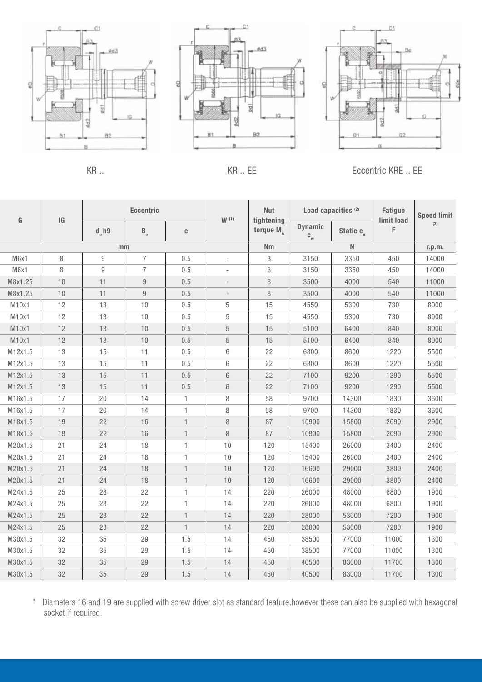







KR .. CONTROLLER KR .. EVALUATION CONTROLLER KR .. EXAMPLE . EXAMPLE . EXAMPLE . EXAMPLE . EXAMPLE . EXAMPLE .

| G       | IG   | <b>Eccentric</b> |                         |              | W(1)                     | <b>Nut</b><br>tightening | Load capacities <sup>(2)</sup>              |                       | <b>Fatigue</b><br>limit load | <b>Speed limit</b> |
|---------|------|------------------|-------------------------|--------------|--------------------------|--------------------------|---------------------------------------------|-----------------------|------------------------------|--------------------|
|         |      | $de$ h9          | $\mathsf{B}_{_{\rm e}}$ | e            |                          | torque $M_A$             | <b>Dynamic</b><br>$\mathbf{c}_{\mathrm{w}}$ | Static c <sub>o</sub> | F                            | (3)                |
|         |      | mm               |                         |              |                          | Nm                       |                                             | N                     |                              | r.p.m.             |
| M6x1    | 8    | 9                | $\overline{7}$          | 0.5          | ÷,                       | 3                        | 3150                                        | 3350                  | 450                          | 14000              |
| M6x1    | 8    | $\overline{9}$   | $\overline{7}$          | 0.5          | $\sim$                   | 3                        | 3150                                        | 3350                  | 450                          | 14000              |
| M8x1.25 | 10   | 11               | 9                       | 0.5          | $\overline{\phantom{a}}$ | $\, 8$                   | 3500                                        | 4000                  | 540                          | 11000              |
| M8x1.25 | $10$ | 11               | $9\,$                   | 0.5          | $\overline{\phantom{a}}$ | 8                        | 3500                                        | 4000                  | 540                          | 11000              |
| M10x1   | 12   | 13               | 10                      | 0.5          | 5                        | 15                       | 4550                                        | 5300                  | 730                          | 8000               |
| M10x1   | 12   | 13               | 10                      | 0.5          | 5                        | 15                       | 4550                                        | 5300                  | 730                          | 8000               |
| M10x1   | 12   | 13               | 10                      | 0.5          | 5                        | 15                       | 5100                                        | 6400                  | 840                          | 8000               |
| M10x1   | 12   | 13               | 10                      | 0.5          | 5                        | 15                       | 5100                                        | 6400                  | 840                          | 8000               |
| M12x1.5 | 13   | 15               | 11                      | 0.5          | 6                        | 22                       | 6800                                        | 8600                  | 1220                         | 5500               |
| M12x1.5 | 13   | 15               | 11                      | 0.5          | 6                        | 22                       | 6800                                        | 8600                  | 1220                         | 5500               |
| M12x1.5 | 13   | 15               | 11                      | 0.5          | 6                        | 22                       | 7100                                        | 9200                  | 1290                         | 5500               |
| M12x1.5 | 13   | 15               | 11                      | 0.5          | 6                        | 22                       | 7100                                        | 9200                  | 1290                         | 5500               |
| M16x1.5 | 17   | 20               | 14                      | 1            | 8                        | 58                       | 9700                                        | 14300                 | 1830                         | 3600               |
| M16x1.5 | 17   | 20               | 14                      | 1            | 8                        | 58                       | 9700                                        | 14300                 | 1830                         | 3600               |
| M18x1.5 | 19   | 22               | 16                      | $\mathbf{1}$ | 8                        | 87                       | 10900                                       | 15800                 | 2090                         | 2900               |
| M18x1.5 | 19   | 22               | 16                      | $\mathbf{1}$ | 8                        | 87                       | 10900                                       | 15800                 | 2090                         | 2900               |
| M20x1.5 | 21   | 24               | 18                      | 1            | 10                       | 120                      | 15400                                       | 26000                 | 3400                         | 2400               |
| M20x1.5 | 21   | 24               | 18                      | 1            | 10                       | 120                      | 15400                                       | 26000                 | 3400                         | 2400               |
| M20x1.5 | 21   | 24               | 18                      | $\mathbf{1}$ | 10                       | 120                      | 16600                                       | 29000                 | 3800                         | 2400               |
| M20x1.5 | 21   | 24               | 18                      | $\mathbf{1}$ | 10                       | 120                      | 16600                                       | 29000                 | 3800                         | 2400               |
| M24x1.5 | 25   | 28               | 22                      | 1            | 14                       | 220                      | 26000                                       | 48000                 | 6800                         | 1900               |
| M24x1.5 | 25   | 28               | 22                      | 1            | 14                       | 220                      | 26000                                       | 48000                 | 6800                         | 1900               |
| M24x1.5 | 25   | 28               | 22                      | $\mathbf{1}$ | 14                       | 220                      | 28000                                       | 53000                 | 7200                         | 1900               |
| M24x1.5 | 25   | 28               | 22                      | $\mathbf{1}$ | 14                       | 220                      | 28000                                       | 53000                 | 7200                         | 1900               |
| M30x1.5 | 32   | 35               | 29                      | 1.5          | 14                       | 450                      | 38500                                       | 77000                 | 11000                        | 1300               |
| M30x1.5 | 32   | 35               | 29                      | 1.5          | 14                       | 450                      | 38500                                       | 77000                 | 11000                        | 1300               |
| M30x1.5 | 32   | 35               | 29                      | 1.5          | 14                       | 450                      | 40500                                       | 83000                 | 11700                        | 1300               |
| M30x1.5 | 32   | 35               | 29                      | 1.5          | 14                       | 450                      | 40500                                       | 83000                 | 11700                        | 1300               |

\* Diameters 16 and 19 are supplied with screw driver slot as standard feature,however these can also be supplied with hexagonal socket if required.